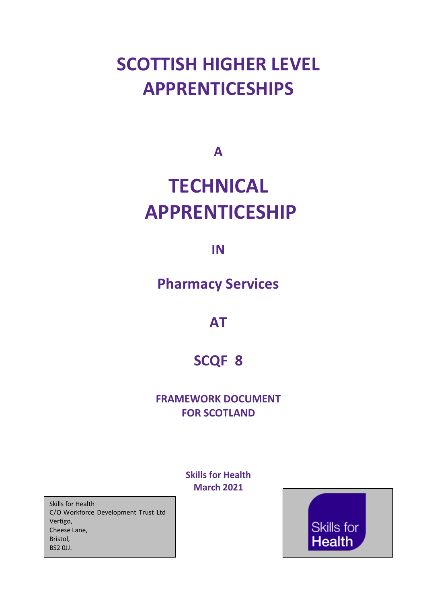# **SCOTTISH HIGHER LEVEL APPRENTICESHIPS**

**A**

# **TECHNICAL APPRENTICESHIP**

**IN**

**Pharmacy Services**

**AT**

## **SCQF 8**

## **FRAMEWORK DOCUMENT FOR SCOTLAND**

**Skills for Health March 2021**

Skills for Health C/O Workforce Development Trust Ltd Vertigo, Cheese Lane, Bristol, BS2 0JJ.

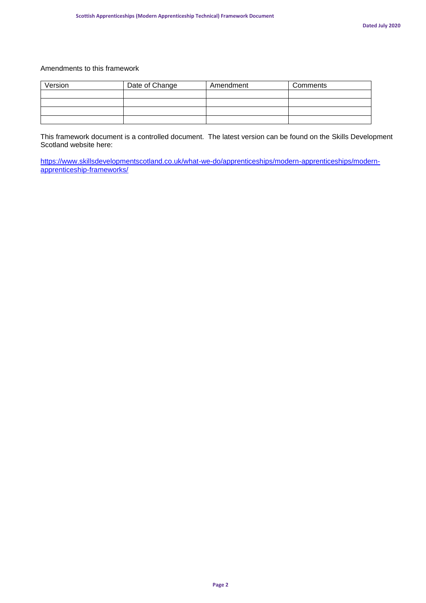#### Amendments to this framework

| Version | Date of Change | Amendment | Comments |
|---------|----------------|-----------|----------|
|         |                |           |          |
|         |                |           |          |
|         |                |           |          |
|         |                |           |          |

This framework document is a controlled document. The latest version can be found on the Skills Development Scotland website here:

[https://www.skillsdevelopmentscotland.co.uk/what-we-do/apprenticeships/modern-apprenticeships/modern](https://www.skillsdevelopmentscotland.co.uk/what-we-do/apprenticeships/modern-apprenticeships/modern-apprenticeship-frameworks/)[apprenticeship-frameworks/](https://www.skillsdevelopmentscotland.co.uk/what-we-do/apprenticeships/modern-apprenticeships/modern-apprenticeship-frameworks/)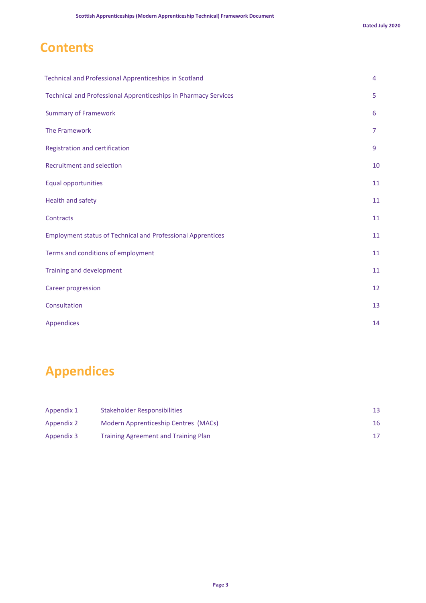## **Contents**

| Technical and Professional Apprenticeships in Scotland                 | 4  |
|------------------------------------------------------------------------|----|
| <b>Technical and Professional Apprenticeships in Pharmacy Services</b> | 5  |
| <b>Summary of Framework</b>                                            | 6  |
| The Framework                                                          | 7  |
| Registration and certification                                         | 9  |
| <b>Recruitment and selection</b>                                       | 10 |
| <b>Equal opportunities</b>                                             | 11 |
| Health and safety                                                      | 11 |
| Contracts                                                              | 11 |
| <b>Employment status of Technical and Professional Apprentices</b>     | 11 |
| Terms and conditions of employment                                     | 11 |
| <b>Training and development</b>                                        | 11 |
| <b>Career progression</b>                                              | 12 |
| Consultation                                                           | 13 |
| <b>Appendices</b>                                                      | 14 |

## **Appendices**

| Appendix 1 | Stakeholder Responsibilities                |    |
|------------|---------------------------------------------|----|
| Appendix 2 | Modern Apprenticeship Centres (MACs)        | 16 |
| Appendix 3 | <b>Training Agreement and Training Plan</b> |    |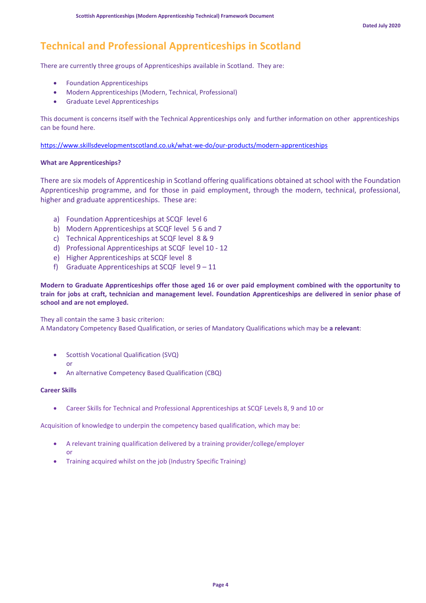## **Technical and Professional Apprenticeships in Scotland**

There are currently three groups of Apprenticeships available in Scotland. They are:

- Foundation Apprenticeships
- Modern Apprenticeships (Modern, Technical, Professional)
- Graduate Level Apprenticeships

This document is concerns itself with the Technical Apprenticeships only and further information on other apprenticeships can be found here.

<https://www.skillsdevelopmentscotland.co.uk/what-we-do/our-products/modern-apprenticeships>

#### **What are Apprenticeships?**

There are six models of Apprenticeship in Scotland offering qualifications obtained at school with the Foundation Apprenticeship programme, and for those in paid employment, through the modern, technical, professional, higher and graduate apprenticeships. These are:

- a) Foundation Apprenticeships at SCQF level 6
- b) Modern Apprenticeships at SCQF level 5 6 and 7
- c) Technical Apprenticeships at SCQF level 8 & 9
- d) Professional Apprenticeships at SCQF level 10 12
- e) Higher Apprenticeships at SCQF level 8
- f) Graduate Apprenticeships at SCQF level  $9 11$

**Modern to Graduate Apprenticeships offer those aged 16 or over paid employment combined with the opportunity to train for jobs at craft, technician and management level. Foundation Apprenticeships are delivered in senior phase of school and are not employed.**

They all contain the same 3 basic criterion:

A Mandatory Competency Based Qualification, or series of Mandatory Qualifications which may be **a relevant**:

- Scottish Vocational Qualification (SVQ) or
- An alternative Competency Based Qualification (CBQ)

#### **Career Skills**

• Career Skills for Technical and Professional Apprenticeships at SCQF Levels 8, 9 and 10 or

Acquisition of knowledge to underpin the competency based qualification, which may be:

- A relevant training qualification delivered by a training provider/college/employer or
- Training acquired whilst on the job (Industry Specific Training)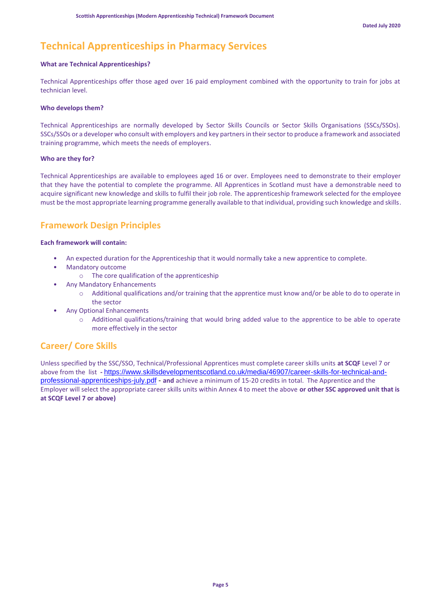## **Technical Apprenticeships in Pharmacy Services**

#### **What are Technical Apprenticeships?**

Technical Apprenticeships offer those aged over 16 paid employment combined with the opportunity to train for jobs at technician level.

#### **Who develops them?**

Technical Apprenticeships are normally developed by Sector Skills Councils or Sector Skills Organisations (SSCs/SSOs). SSCs/SSOs or a developer who consult with employers and key partners in their sector to produce a framework and associated training programme, which meets the needs of employers.

#### **Who are they for?**

Technical Apprenticeships are available to employees aged 16 or over. Employees need to demonstrate to their employer that they have the potential to complete the programme. All Apprentices in Scotland must have a demonstrable need to acquire significant new knowledge and skills to fulfil their job role. The apprenticeship framework selected for the employee must be the most appropriate learning programme generally available to that individual, providing such knowledge and skills.

### **Framework Design Principles**

#### **Each framework will contain:**

- An expected duration for the Apprenticeship that it would normally take a new apprentice to complete.
- Mandatory outcome
	- o The core qualification of the apprenticeship
- Any Mandatory Enhancements
	- o Additional qualifications and/or training that the apprentice must know and/or be able to do to operate in the sector
	- Any Optional Enhancements
		- o Additional qualifications/training that would bring added value to the apprentice to be able to operate more effectively in the sector

## **Career/ Core Skills**

Unless specified by the SSC/SSO, Technical/Professional Apprentices must complete career skills units **at SCQF** Level 7 or above from the list **-** [https://www.skillsdevelopmentscotland.co.uk/media/46907/career-skills-for-technical-and](https://www.skillsdevelopmentscotland.co.uk/media/46907/career-skills-for-technical-and-professional-apprenticeships-july.pdf)[professional-apprenticeships-july.pdf](https://www.skillsdevelopmentscotland.co.uk/media/46907/career-skills-for-technical-and-professional-apprenticeships-july.pdf) - **and** achieve a minimum of 15-20 credits in total. The Apprentice and the Employer will select the appropriate career skills units within Annex 4 to meet the above **or other SSC approved unit that is at SCQF Level 7 or above)**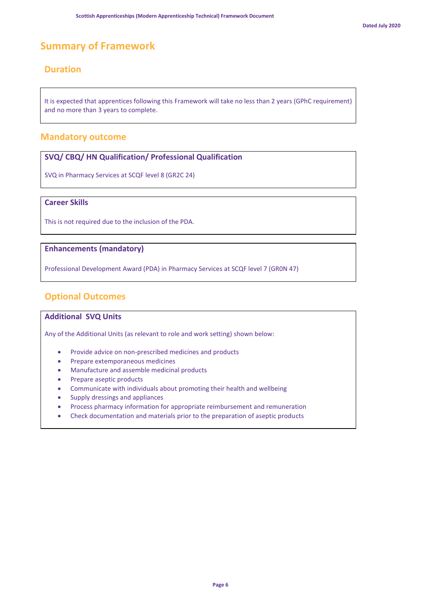## **Summary of Framework**

## **Duration**

It is expected that apprentices following this Framework will take no less than 2 years (GPhC requirement) and no more than 3 years to complete.

#### **Mandatory outcome**

#### **SVQ/ CBQ/ HN Qualification/ Professional Qualification**

SVQ in Pharmacy Services at SCQF level 8 (GR2C 24)

#### **Career Skills**

This is not required due to the inclusion of the PDA.

#### **Enhancements (mandatory)**

Professional Development Award (PDA) in Pharmacy Services at SCQF level 7 (GR0N 47)

## **Optional Outcomes**

#### **Additional SVQ Units**

Any of the Additional Units (as relevant to role and work setting) shown below:

- Provide advice on non-prescribed medicines and products
- Prepare extemporaneous medicines
- Manufacture and assemble medicinal products
- Prepare aseptic products
- Communicate with individuals about promoting their health and wellbeing
- Supply dressings and appliances
- Process pharmacy information for appropriate reimbursement and remuneration
- Check documentation and materials prior to the preparation of aseptic products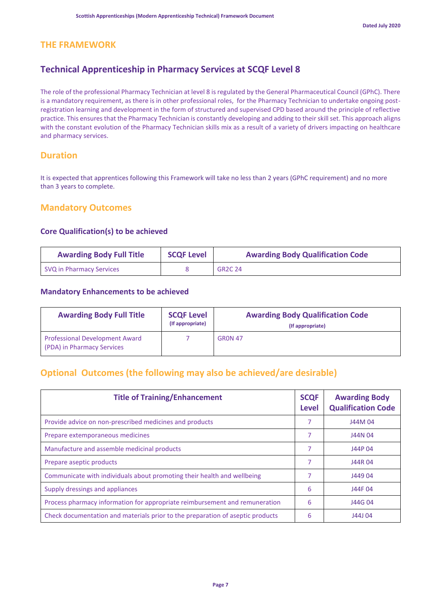## **THE FRAMEWORK**

## **Technical Apprenticeship in Pharmacy Services at SCQF Level 8**

The role of the professional Pharmacy Technician at level 8 is regulated by the General Pharmaceutical Council (GPhC). There is a mandatory requirement, as there is in other professional roles, for the Pharmacy Technician to undertake ongoing postregistration learning and development in the form of structured and supervised CPD based around the principle of reflective practice. This ensures that the Pharmacy Technician is constantly developing and adding to their skill set. This approach aligns with the constant evolution of the Pharmacy Technician skills mix as a result of a variety of drivers impacting on healthcare and pharmacy services.

## **Duration**

It is expected that apprentices following this Framework will take no less than 2 years (GPhC requirement) and no more than 3 years to complete.

### **Mandatory Outcomes**

#### **Core Qualification(s) to be achieved**

| <b>Awarding Body Full Title</b> | <b>SCQF Level</b> | <b>Awarding Body Qualification Code</b> |
|---------------------------------|-------------------|-----------------------------------------|
| SVQ in Pharmacy Services        |                   | <b>GR2C 24</b>                          |

#### **Mandatory Enhancements to be achieved**

| <b>Awarding Body Full Title</b>                                     | <b>SCQF Level</b><br>(If appropriate) | <b>Awarding Body Qualification Code</b><br>(If appropriate) |
|---------------------------------------------------------------------|---------------------------------------|-------------------------------------------------------------|
| <b>Professional Development Award</b><br>(PDA) in Pharmacy Services |                                       | <b>GRON 47</b>                                              |

## **Optional Outcomes (the following may also be achieved/are desirable)**

| <b>Title of Training/Enhancement</b>                                           | <b>SCQF</b><br>Level | <b>Awarding Body</b><br><b>Qualification Code</b> |
|--------------------------------------------------------------------------------|----------------------|---------------------------------------------------|
| Provide advice on non-prescribed medicines and products                        |                      | J44M 04                                           |
| Prepare extemporaneous medicines                                               | 7                    | J44N 04                                           |
| Manufacture and assemble medicinal products                                    | 7                    | J44P 04                                           |
| Prepare aseptic products                                                       | 7                    | J44R04                                            |
| Communicate with individuals about promoting their health and wellbeing        | 7                    | J449 04                                           |
| Supply dressings and appliances                                                | 6                    | J44F 04                                           |
| Process pharmacy information for appropriate reimbursement and remuneration    | 6                    | J44G 04                                           |
| Check documentation and materials prior to the preparation of aseptic products | 6                    | J44J 04                                           |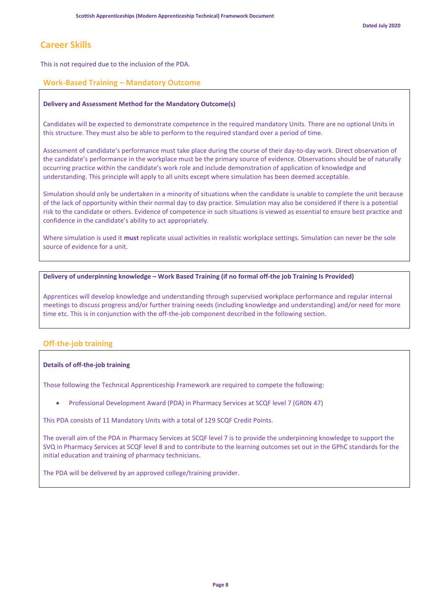## **Career Skills**

This is not required due to the inclusion of the PDA.

#### **Work-Based Training – Mandatory Outcome**

#### **Delivery and Assessment Method for the Mandatory Outcome(s)**

Candidates will be expected to demonstrate competence in the required mandatory Units. There are no optional Units in this structure. They must also be able to perform to the required standard over a period of time.

Assessment of candidate's performance must take place during the course of their day-to-day work. Direct observation of the candidate's performance in the workplace must be the primary source of evidence. Observations should be of naturally occurring practice within the candidate's work role and include demonstration of application of knowledge and understanding. This principle will apply to all units except where simulation has been deemed acceptable.

Simulation should only be undertaken in a minority of situations when the candidate is unable to complete the unit because of the lack of opportunity within their normal day to day practice. Simulation may also be considered if there is a potential risk to the candidate or others. Evidence of competence in such situations is viewed as essential to ensure best practice and confidence in the candidate's ability to act appropriately.

Where simulation is used it **must** replicate usual activities in realistic workplace settings. Simulation can never be the sole source of evidence for a unit.

#### **Delivery of underpinning knowledge – Work Based Training (if no formal off-the job Training Is Provided)**

Apprentices will develop knowledge and understanding through supervised workplace performance and regular internal meetings to discuss progress and/or further training needs (including knowledge and understanding) and/or need for more time etc. This is in conjunction with the off-the-job component described in the following section.

#### **Off-the-job training**

#### **Details of off-the-job training**

Those following the Technical Apprenticeship Framework are required to compete the following:

• Professional Development Award (PDA) in Pharmacy Services at SCQF level 7 (GR0N 47)

This PDA consists of 11 Mandatory Units with a total of 129 SCQF Credit Points.

The overall aim of the PDA in Pharmacy Services at SCQF level 7 is to provide the underpinning knowledge to support the SVQ in Pharmacy Services at SCQF level 8 and to contribute to the learning outcomes set out in the GPhC standards for the initial education and training of pharmacy technicians.

The PDA will be delivered by an approved college/training provider.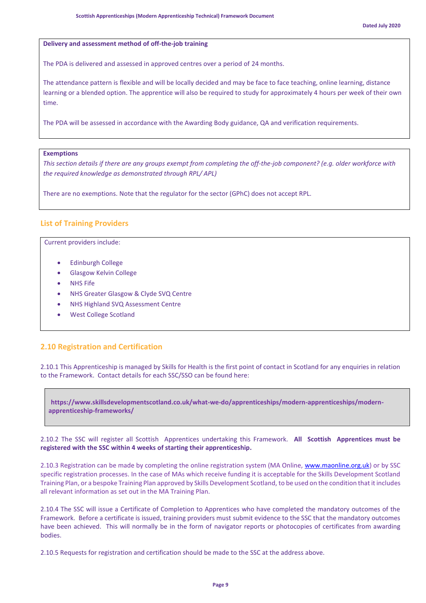#### **Delivery and assessment method of off-the-job training**

The PDA is delivered and assessed in approved centres over a period of 24 months.

The attendance pattern is flexible and will be locally decided and may be face to face teaching, online learning, distance learning or a blended option. The apprentice will also be required to study for approximately 4 hours per week of their own time.

The PDA will be assessed in accordance with the Awarding Body guidance, QA and verification requirements.

#### **Exemptions**

*This section details if there are any groups exempt from completing the off-the-job component? (e.g. older workforce with the required knowledge as demonstrated through RPL/ APL)*

There are no exemptions. Note that the regulator for the sector (GPhC) does not accept RPL.

#### **List of Training Providers**

Current providers include:

- Edinburgh College
- Glasgow Kelvin College
- **NHS Fife**
- NHS Greater Glasgow & Clyde SVQ Centre
- NHS Highland SVQ Assessment Centre
- West College Scotland

#### **2.10 Registration and Certification**

2.10.1 This Apprenticeship is managed by Skills for Health is the first point of contact in Scotland for any enquiries in relation to the Framework. Contact details for each SSC/SSO can be found here:

**https://www.skillsdevelopmentscotland.co.uk/what-we-do/apprenticeships/modern-apprenticeships/modernapprenticeship-frameworks/**

2.10.2 The SSC will register all Scottish Apprentices undertaking this Framework. **All Scottish Apprentices must be registered with the SSC within 4 weeks of starting their apprenticeship.**

2.10.3 Registration can be made by completing the online registration system (MA Online, [www.maonline.org.uk\)](http://www.maonline.org.uk/) or by SSC specific registration processes. In the case of MAs which receive funding it is acceptable for the Skills Development Scotland Training Plan, or a bespoke Training Plan approved by Skills Development Scotland, to be used on the condition that it includes all relevant information as set out in the MA Training Plan.

2.10.4 The SSC will issue a Certificate of Completion to Apprentices who have completed the mandatory outcomes of the Framework. Before a certificate is issued, training providers must submit evidence to the SSC that the mandatory outcomes have been achieved. This will normally be in the form of navigator reports or photocopies of certificates from awarding bodies.

2.10.5 Requests for registration and certification should be made to the SSC at the address above.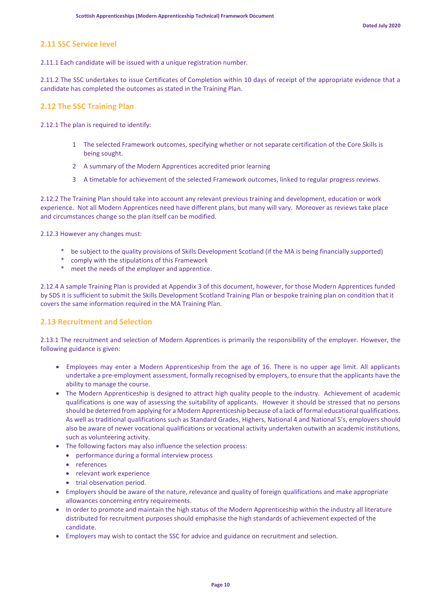### **2.11 SSC Service level**

2.11.1 Each candidate will be issued with a unique registration number.

2.11.2 The SSC undertakes to issue Certificates of Completion within 10 days of receipt of the appropriate evidence that a candidate has completed the outcomes as stated in the Training Plan.

#### **2.12 The SSC Training Plan**

2.12.1 The plan is required to identify:

- 1 The selected Framework outcomes, specifying whether or not separate certification of the Core Skills is being sought.
- 2 A summary of the Modern Apprentices accredited prior learning
- 3 A timetable for achievement of the selected Framework outcomes, linked to regular progress reviews.

2.12.2 The Training Plan should take into account any relevant previous training and development, education or work experience. Not all Modern Apprentices need have different plans, but many will vary. Moreover as reviews take place and circumstances change so the plan itself can be modified.

2.12.3 However any changes must:

- \* be subject to the quality provisions of Skills Development Scotland (if the MA is being financially supported)
- \* comply with the stipulations of this Framework
- \* meet the needs of the employer and apprentice.

2.12.4 A sample Training Plan is provided at Appendix 3 of this document, however, for those Modern Apprentices funded by SDS it is sufficient to submit the Skills Development Scotland Training Plan or bespoke training plan on condition that it covers the same information required in the MA Training Plan.

#### **2.13 Recruitment and Selection**

2.13.1 The recruitment and selection of Modern Apprentices is primarily the responsibility of the employer. However, the following guidance is given:

- Employees may enter a Modern Apprenticeship from the age of 16. There is no upper age limit. All applicants undertake a pre-employment assessment, formally recognised by employers, to ensure that the applicants have the ability to manage the course.
- The Modern Apprenticeship is designed to attract high quality people to the industry. Achievement of academic qualifications is one way of assessing the suitability of applicants. However it should be stressed that no persons should be deterred from applying for a Modern Apprenticeship because of a lack of formal educational qualifications. As well as traditional qualifications such as Standard Grades, Highers, National 4 and National 5's, employers should also be aware of newer vocational qualifications or vocational activity undertaken outwith an academic institutions, such as volunteering activity.
- The following factors may also influence the selection process:
	- performance during a formal interview process
	- references
	- relevant work experience
	- trial observation period.
- Employers should be aware of the nature, relevance and quality of foreign qualifications and make appropriate allowances concerning entry requirements.
- In order to promote and maintain the high status of the Modern Apprenticeship within the industry all literature distributed for recruitment purposes should emphasise the high standards of achievement expected of the candidate.
- Employers may wish to contact the SSC for advice and guidance on recruitment and selection.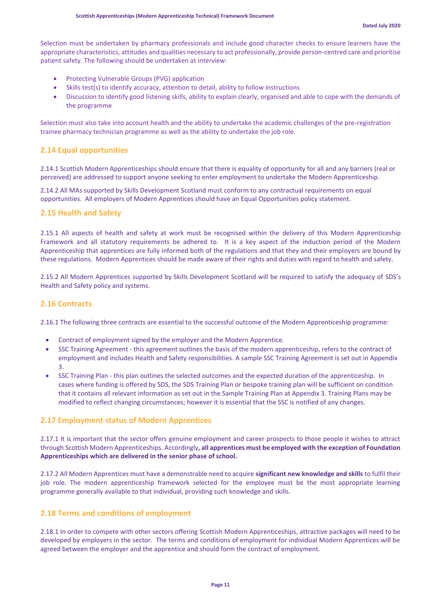Selection must be undertaken by pharmacy professionals and include good character checks to ensure learners have the appropriate characteristics, attitudes and qualities necessary to act professionally, provide person-centred care and prioritise patient safety. The following should be undertaken at interview:

- Protecting Vulnerable Groups (PVG) application
- Skills test(s) to identify accuracy, attention to detail, ability to follow instructions
- Discussion to identify good listening skills, ability to explain clearly, organised and able to cope with the demands of the programme

Selection must also take into account health and the ability to undertake the academic challenges of the pre-registration trainee pharmacy technician programme as well as the ability to undertake the job role.

#### **2.14 Equal opportunities**

2.14.1 Scottish Modern Apprenticeships should ensure that there is equality of opportunity for all and any barriers (real or perceived) are addressed to support anyone seeking to enter employment to undertake the Modern Apprenticeship.

2.14.2 All MAs supported by Skills Development Scotland must conform to any contractual requirements on equal opportunities. All employers of Modern Apprentices should have an Equal Opportunities policy statement.

#### **2.15 Health and Safety**

2.15.1 All aspects of health and safety at work must be recognised within the delivery of this Modern Apprenticeship Framework and all statutory requirements be adhered to. It is a key aspect of the induction period of the Modern Apprenticeship that apprentices are fully informed both of the regulations and that they and their employers are bound by these regulations. Modern Apprentices should be made aware of their rights and duties with regard to health and safety.

2.15.2 All Modern Apprentices supported by Skills Development Scotland will be required to satisfy the adequacy of SDS's Health and Safety policy and systems.

#### **2.16 Contracts**

2.16.1 The following three contracts are essential to the successful outcome of the Modern Apprenticeship programme:

- Contract of employment signed by the employer and the Modern Apprentice.
- SSC Training Agreement this agreement outlines the basis of the modern apprenticeship, refers to the contract of employment and includes Health and Safety responsibilities. A sample SSC Training Agreement is set out in Appendix 3.
- SSC Training Plan this plan outlines the selected outcomes and the expected duration of the apprenticeship. In cases where funding is offered by SDS, the SDS Training Plan or bespoke training plan will be sufficient on condition that it contains all relevant information as set out in the Sample Training Plan at Appendix 3. Training Plans may be modified to reflect changing circumstances; however it is essential that the SSC is notified of any changes.

#### **2.17 Employment status of Modern Apprentices**

2.17.1 It is important that the sector offers genuine employment and career prospects to those people it wishes to attract through Scottish Modern Apprenticeships. Accordingly**, all apprentices must be employed with the exception of Foundation Apprenticeships which are delivered in the senior phase of school.**

2.17.2 All Modern Apprentices must have a demonstrable need to acquire **significant new knowledge and skills** to fulfil their job role. The modern apprenticeship framework selected for the employee must be the most appropriate learning programme generally available to that individual, providing such knowledge and skills.

#### **2.18 Terms and conditions of employment**

2.18.1 In order to compete with other sectors offering Scottish Modern Apprenticeships, attractive packages will need to be developed by employers in the sector. The terms and conditions of employment for individual Modern Apprentices will be agreed between the employer and the apprentice and should form the contract of employment.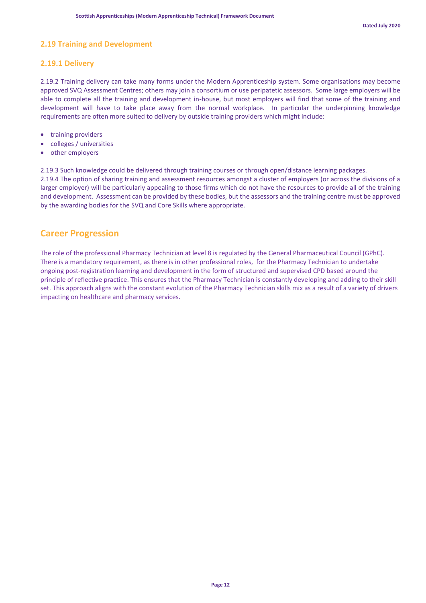#### **2.19 Training and Development**

#### **2.19.1 Delivery**

2.19.2 Training delivery can take many forms under the Modern Apprenticeship system. Some organisations may become approved SVQ Assessment Centres; others may join a consortium or use peripatetic assessors. Some large employers will be able to complete all the training and development in-house, but most employers will find that some of the training and development will have to take place away from the normal workplace. In particular the underpinning knowledge requirements are often more suited to delivery by outside training providers which might include:

- training providers
- colleges / universities
- other employers

2.19.3 Such knowledge could be delivered through training courses or through open/distance learning packages.

2.19.4 The option of sharing training and assessment resources amongst a cluster of employers (or across the divisions of a larger employer) will be particularly appealing to those firms which do not have the resources to provide all of the training and development. Assessment can be provided by these bodies, but the assessors and the training centre must be approved by the awarding bodies for the SVQ and Core Skills where appropriate.

### **Career Progression**

The role of the professional Pharmacy Technician at level 8 is regulated by the General Pharmaceutical Council (GPhC). There is a mandatory requirement, as there is in other professional roles, for the Pharmacy Technician to undertake ongoing post-registration learning and development in the form of structured and supervised CPD based around the principle of reflective practice. This ensures that the Pharmacy Technician is constantly developing and adding to their skill set. This approach aligns with the constant evolution of the Pharmacy Technician skills mix as a result of a variety of drivers impacting on healthcare and pharmacy services.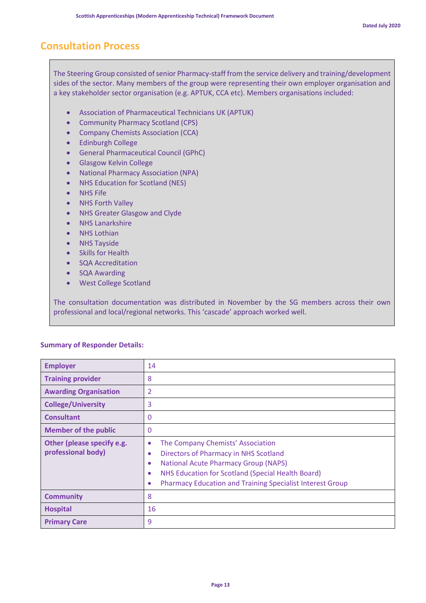## **Consultation Process**

The Steering Group consisted of senior Pharmacy-staff from the service delivery and training/development sides of the sector. Many members of the group were representing their own employer organisation and a key stakeholder sector organisation (e.g. APTUK, CCA etc). Members organisations included:

- Association of Pharmaceutical Technicians UK (APTUK)
- Community Pharmacy Scotland (CPS)
- Company Chemists Association (CCA)
- Edinburgh College
- General Pharmaceutical Council (GPhC)
- Glasgow Kelvin College
- National Pharmacy Association (NPA)
- NHS Education for Scotland (NES)
- NHS Fife
- NHS Forth Valley
- NHS Greater Glasgow and Clyde
- NHS Lanarkshire
- NHS Lothian
- NHS Tayside
- Skills for Health
- SQA Accreditation
- SQA Awarding
- West College Scotland

The consultation documentation was distributed in November by the SG members across their own professional and local/regional networks. This 'cascade' approach worked well.

#### **Summary of Responder Details:**

| <b>Employer</b>                                  | 14                                                                                                                                                                                                                                                                                  |
|--------------------------------------------------|-------------------------------------------------------------------------------------------------------------------------------------------------------------------------------------------------------------------------------------------------------------------------------------|
| <b>Training provider</b>                         | 8                                                                                                                                                                                                                                                                                   |
| <b>Awarding Organisation</b>                     | 2                                                                                                                                                                                                                                                                                   |
| <b>College/University</b>                        | 3                                                                                                                                                                                                                                                                                   |
| <b>Consultant</b>                                | 0                                                                                                                                                                                                                                                                                   |
| <b>Member of the public</b>                      | 0                                                                                                                                                                                                                                                                                   |
| Other (please specify e.g.<br>professional body) | The Company Chemists' Association<br>$\bullet$<br>Directors of Pharmacy in NHS Scotland<br>٠<br><b>National Acute Pharmacy Group (NAPS)</b><br>٠<br>NHS Education for Scotland (Special Health Board)<br>٠<br><b>Pharmacy Education and Training Specialist Interest Group</b><br>٠ |
| <b>Community</b>                                 | 8                                                                                                                                                                                                                                                                                   |
| <b>Hospital</b>                                  | 16                                                                                                                                                                                                                                                                                  |
| <b>Primary Care</b>                              | 9                                                                                                                                                                                                                                                                                   |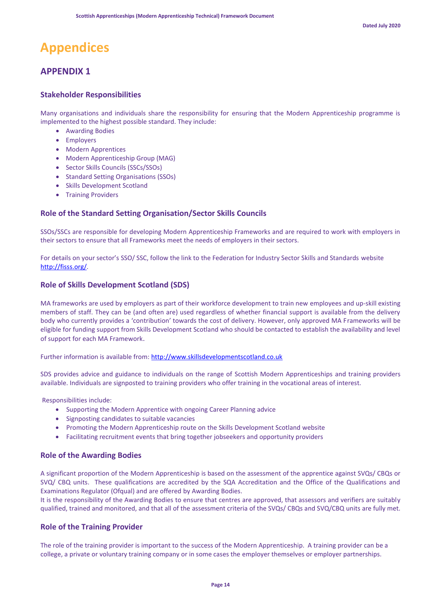## **Appendices**

## **APPENDIX 1**

#### **Stakeholder Responsibilities**

Many organisations and individuals share the responsibility for ensuring that the Modern Apprenticeship programme is implemented to the highest possible standard. They include:

- Awarding Bodies
- Employers
- Modern Apprentices
- Modern Apprenticeship Group (MAG)
- Sector Skills Councils (SSCs/SSOs)
- Standard Setting Organisations (SSOs)
- Skills Development Scotland
- Training Providers

#### **Role of the Standard Setting Organisation/Sector Skills Councils**

SSOs/SSCs are responsible for developing Modern Apprenticeship Frameworks and are required to work with employers in their sectors to ensure that all Frameworks meet the needs of employers in their sectors.

For details on your sector's SSO/ SSC, follow the link to the Federation for Industry Sector Skills and Standards website [http://fisss.org/.](http://fisss.org/)

#### **Role of Skills Development Scotland (SDS)**

MA frameworks are used by employers as part of their workforce development to train new employees and up-skill existing members of staff. They can be (and often are) used regardless of whether financial support is available from the delivery body who currently provides a 'contribution' towards the cost of delivery. However, only approved MA Frameworks will be eligible for funding support from Skills Development Scotland who should be contacted to establish the availability and level of support for each MA Framework.

#### Further information is available from[: http://www.skillsdevelopmentscotland.co.uk](http://www.skillsdevelopmentscotland.co.uk/our-services/modern-apprenticeships.aspx)

SDS provides advice and guidance to individuals on the range of Scottish Modern Apprenticeships and training providers available. Individuals are signposted to training providers who offer training in the vocational areas of interest.

Responsibilities include:

- Supporting the Modern Apprentice with ongoing Career Planning advice
- Signposting candidates to suitable vacancies
- Promoting the Modern Apprenticeship route on the Skills Development Scotland website
- Facilitating recruitment events that bring together jobseekers and opportunity providers

#### **Role of the Awarding Bodies**

A significant proportion of the Modern Apprenticeship is based on the assessment of the apprentice against SVQs/ CBQs or SVQ/ CBQ units. These qualifications are accredited by the SQA Accreditation and the Office of the Qualifications and Examinations Regulator (Ofqual) and are offered by Awarding Bodies.

It is the responsibility of the Awarding Bodies to ensure that centres are approved, that assessors and verifiers are suitably qualified, trained and monitored, and that all of the assessment criteria of the SVQs/ CBQs and SVQ/CBQ units are fully met.

#### **Role of the Training Provider**

The role of the training provider is important to the success of the Modern Apprenticeship. A training provider can be a college, a private or voluntary training company or in some cases the employer themselves or employer partnerships.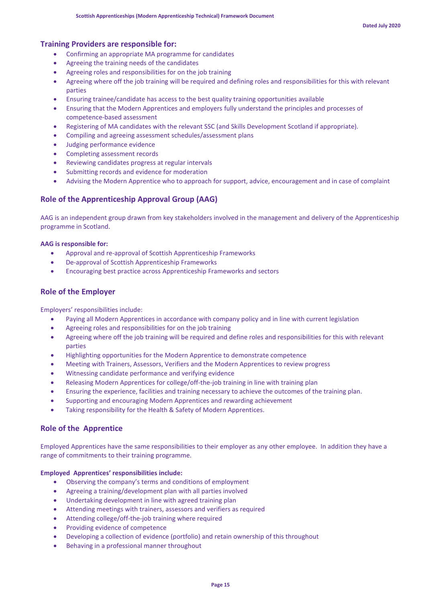#### **Training Providers are responsible for:**

- Confirming an appropriate MA programme for candidates
- Agreeing the training needs of the candidates
- Agreeing roles and responsibilities for on the job training
- Agreeing where off the job training will be required and defining roles and responsibilities for this with relevant parties
- Ensuring trainee/candidate has access to the best quality training opportunities available
- Ensuring that the Modern Apprentices and employers fully understand the principles and processes of competence-based assessment
- Registering of MA candidates with the relevant SSC (and Skills Development Scotland if appropriate).
- Compiling and agreeing assessment schedules/assessment plans
- Judging performance evidence
- Completing assessment records
- Reviewing candidates progress at regular intervals
- Submitting records and evidence for moderation
- Advising the Modern Apprentice who to approach for support, advice, encouragement and in case of complaint

#### **Role of the Apprenticeship Approval Group (AAG)**

AAG is an independent group drawn from key stakeholders involved in the management and delivery of the Apprenticeship programme in Scotland.

#### **AAG is responsible for:**

- Approval and re-approval of Scottish Apprenticeship Frameworks
- De-approval of Scottish Apprenticeship Frameworks
- Encouraging best practice across Apprenticeship Frameworks and sectors

#### **Role of the Employer**

Employers' responsibilities include:

- Paying all Modern Apprentices in accordance with company policy and in line with current legislation
- Agreeing roles and responsibilities for on the job training
- Agreeing where off the job training will be required and define roles and responsibilities for this with relevant parties
- Highlighting opportunities for the Modern Apprentice to demonstrate competence
- Meeting with Trainers, Assessors, Verifiers and the Modern Apprentices to review progress
- Witnessing candidate performance and verifying evidence
- Releasing Modern Apprentices for college/off-the-job training in line with training plan
- Ensuring the experience, facilities and training necessary to achieve the outcomes of the training plan.
- Supporting and encouraging Modern Apprentices and rewarding achievement
- Taking responsibility for the Health & Safety of Modern Apprentices.

#### **Role of the Apprentice**

Employed Apprentices have the same responsibilities to their employer as any other employee. In addition they have a range of commitments to their training programme.

#### **Employed Apprentices' responsibilities include:**

- Observing the company's terms and conditions of employment
- Agreeing a training/development plan with all parties involved
- Undertaking development in line with agreed training plan
- Attending meetings with trainers, assessors and verifiers as required
- Attending college/off-the-job training where required
- Providing evidence of competence
- Developing a collection of evidence (portfolio) and retain ownership of this throughout
- Behaving in a professional manner throughout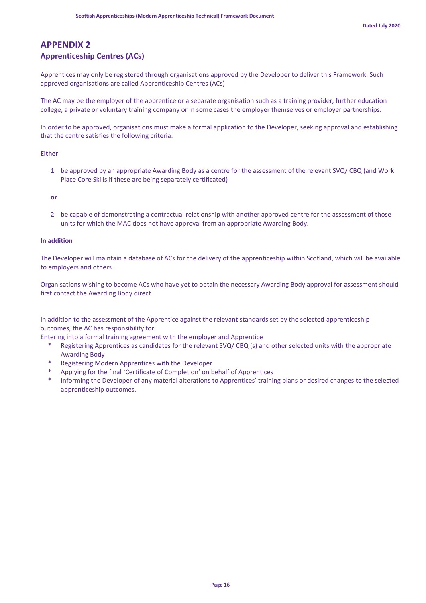## **APPENDIX 2**

## **Apprenticeship Centres (ACs)**

Apprentices may only be registered through organisations approved by the Developer to deliver this Framework. Such approved organisations are called Apprenticeship Centres (ACs)

The AC may be the employer of the apprentice or a separate organisation such as a training provider, further education college, a private or voluntary training company or in some cases the employer themselves or employer partnerships.

In order to be approved, organisations must make a formal application to the Developer, seeking approval and establishing that the centre satisfies the following criteria:

#### **Either**

1 be approved by an appropriate Awarding Body as a centre for the assessment of the relevant SVQ/ CBQ (and Work Place Core Skills if these are being separately certificated)

**or**

2 be capable of demonstrating a contractual relationship with another approved centre for the assessment of those units for which the MAC does not have approval from an appropriate Awarding Body.

#### **In addition**

The Developer will maintain a database of ACs for the delivery of the apprenticeship within Scotland, which will be available to employers and others.

Organisations wishing to become ACs who have yet to obtain the necessary Awarding Body approval for assessment should first contact the Awarding Body direct.

In addition to the assessment of the Apprentice against the relevant standards set by the selected apprenticeship outcomes, the AC has responsibility for:

Entering into a formal training agreement with the employer and Apprentice

- Registering Apprentices as candidates for the relevant SVQ/ CBQ (s) and other selected units with the appropriate Awarding Body
- \* Registering Modern Apprentices with the Developer
- Applying for the final `Certificate of Completion' on behalf of Apprentices
- Informing the Developer of any material alterations to Apprentices' training plans or desired changes to the selected apprenticeship outcomes.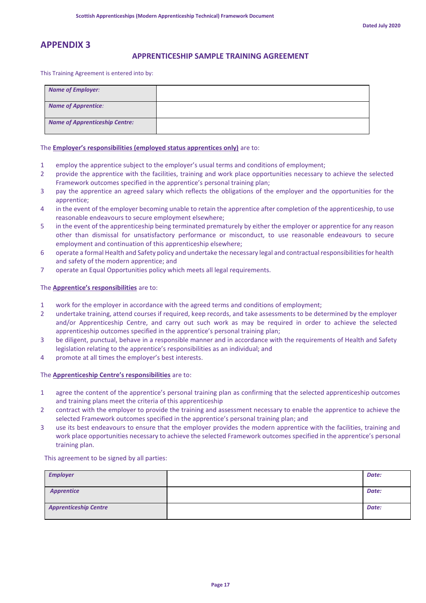## **APPENDIX 3**

#### **APPRENTICESHIP SAMPLE TRAINING AGREEMENT**

This Training Agreement is entered into by:

| <b>Name of Employer:</b>              |  |
|---------------------------------------|--|
| <b>Name of Apprentice:</b>            |  |
| <b>Name of Apprenticeship Centre:</b> |  |

#### The **Employer's responsibilities (employed status apprentices only)** are to:

- 1 employ the apprentice subject to the employer's usual terms and conditions of employment;
- 2 provide the apprentice with the facilities, training and work place opportunities necessary to achieve the selected Framework outcomes specified in the apprentice's personal training plan;
- 3 pay the apprentice an agreed salary which reflects the obligations of the employer and the opportunities for the apprentice;
- 4 in the event of the employer becoming unable to retain the apprentice after completion of the apprenticeship, to use reasonable endeavours to secure employment elsewhere;
- 5 in the event of the apprenticeship being terminated prematurely by either the employer or apprentice for any reason other than dismissal for unsatisfactory performance or misconduct, to use reasonable endeavours to secure employment and continuation of this apprenticeship elsewhere;
- 6 operate a formal Health and Safety policy and undertake the necessary legal and contractual responsibilities for health and safety of the modern apprentice; and
- 7 operate an Equal Opportunities policy which meets all legal requirements.

#### The **Apprentice's responsibilities** are to:

- 1 work for the employer in accordance with the agreed terms and conditions of employment;
- 2 undertake training, attend courses if required, keep records, and take assessments to be determined by the employer and/or Apprenticeship Centre, and carry out such work as may be required in order to achieve the selected apprenticeship outcomes specified in the apprentice's personal training plan;
- 3 be diligent, punctual, behave in a responsible manner and in accordance with the requirements of Health and Safety legislation relating to the apprentice's responsibilities as an individual; and
- 4 promote at all times the employer's best interests.

#### The **Apprenticeship Centre's responsibilities** are to:

- 1 agree the content of the apprentice's personal training plan as confirming that the selected apprenticeship outcomes and training plans meet the criteria of this apprenticeship
- 2 contract with the employer to provide the training and assessment necessary to enable the apprentice to achieve the selected Framework outcomes specified in the apprentice's personal training plan; and
- 3 use its best endeavours to ensure that the employer provides the modern apprentice with the facilities, training and work place opportunities necessary to achieve the selected Framework outcomes specified in the apprentice's personal training plan.

This agreement to be signed by all parties:

| <b>Employer</b>              | Date: |
|------------------------------|-------|
| <b>Apprentice</b>            | Date: |
| <b>Apprenticeship Centre</b> | Date: |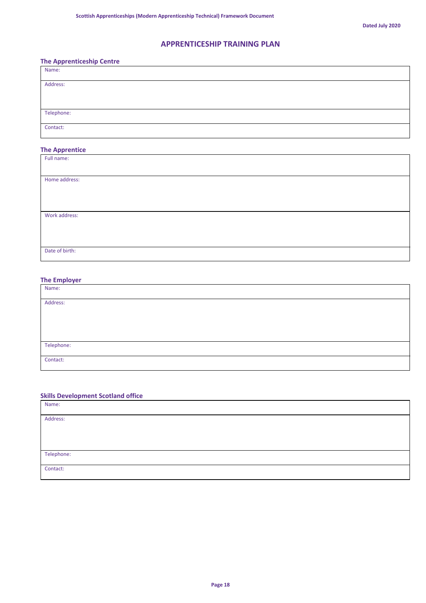## **APPRENTICESHIP TRAINING PLAN**

#### **The Apprenticeship Centre**

| Name:      |  |
|------------|--|
| Address:   |  |
|            |  |
| Telephone: |  |
| Contact:   |  |

## **The Apprentice**

| Full name:     |  |
|----------------|--|
|                |  |
| Home address:  |  |
|                |  |
|                |  |
|                |  |
|                |  |
| Work address:  |  |
|                |  |
|                |  |
|                |  |
| Date of birth: |  |
|                |  |

#### **The Employer**

| Name:      |  |
|------------|--|
| Address:   |  |
|            |  |
|            |  |
| Telephone: |  |
| Contact:   |  |

#### **Skills Development Scotland office**

| Name:      |  |
|------------|--|
| Address:   |  |
|            |  |
|            |  |
| Telephone: |  |
| Contact:   |  |